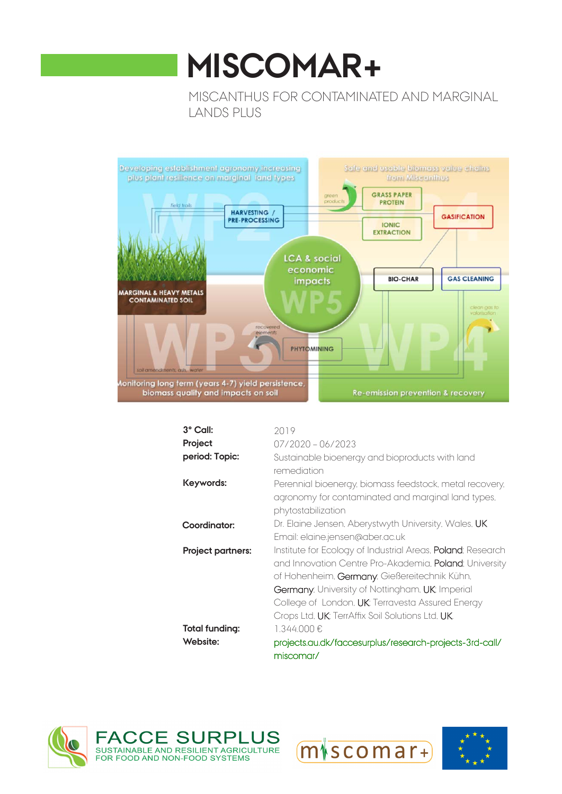# **MISCOMAR+**

MISCANTHUS FOR CONTAMINATED AND MARGINAL LANDS PLUS



| 3° Call:              | 2019                                                                                                                                                                                                                                                                                                                                                   |
|-----------------------|--------------------------------------------------------------------------------------------------------------------------------------------------------------------------------------------------------------------------------------------------------------------------------------------------------------------------------------------------------|
| Project               | $07/2020 - 06/2023$                                                                                                                                                                                                                                                                                                                                    |
| period: Topic:        | Sustainable bioenergy and bioproducts with land<br>remediation                                                                                                                                                                                                                                                                                         |
| Keywords:             | Perennial bioenergy, biomass feedstock, metal recovery,<br>agronomy for contaminated and marginal land types.<br>phytostabilization                                                                                                                                                                                                                    |
| Coordinator:          | Dr. Elaine Jensen, Aberystwyth University, Wales, UK<br>Email: elaine.jensen@aber.ac.uk                                                                                                                                                                                                                                                                |
| Project partners:     | Institute for Ecology of Industrial Areas, <b>Poland</b> ; Research<br>and Innovation Centre Pro-Akademia, Poland; University<br>of Hohenheim, Germany; Gießereitechnik Kühn,<br>Germany, University of Nottingham, UK: Imperial<br>College of London, UK: Terravesta Assured Energy<br>Crops Ltd, <b>UK</b> ; TerrAffix Soil Solutions Ltd, <b>UK</b> |
| <b>Total funding:</b> | 1.344.000€                                                                                                                                                                                                                                                                                                                                             |
| Website:              | projects.au.dk/faccesurplus/research-projects-3rd-call/<br>miscomar/                                                                                                                                                                                                                                                                                   |